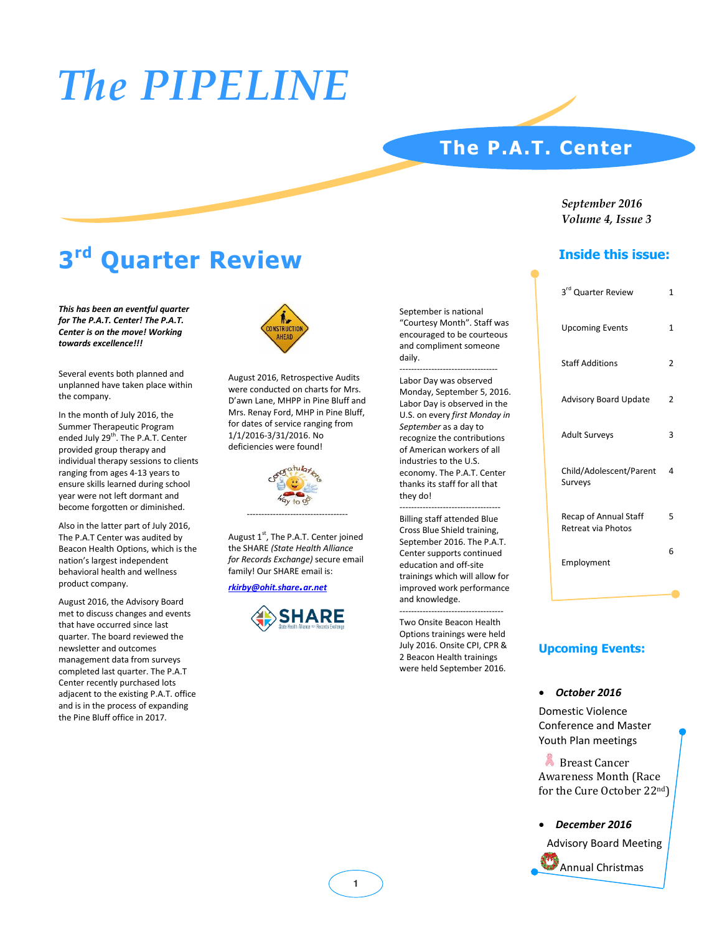## *The PIPELINE*

### **The P.A.T. Center**

### *September 2016 Volume 4, Issue 3*

### **Inside this issue:**

| 3rd Quarter Review                          | 1            |
|---------------------------------------------|--------------|
| <b>Upcoming Events</b>                      | $\mathbf{1}$ |
| <b>Staff Additions</b>                      | 2            |
| <b>Advisory Board Update</b>                | 2            |
| <b>Adult Surveys</b>                        | 3            |
| Child/Adolescent/Parent<br>Surveys          | 4            |
| Recap of Annual Staff<br>Retreat via Photos | 5            |
| Employment                                  | 6            |
|                                             |              |
|                                             |              |

### **Upcoming Events:**

#### x *October 2016*

Domestic Violence Conference and Master Youth Plan meetings

**Breast Cancer** Awareness Month (Race for the Cure October 22nd)

x *December 2016*

Advisory Board Meeting



### **3rd Quarter Review**

*This has been an eventful quarter for The P.A.T. Center! The P.A.T. Center is on the move! Working towards excellence!!!*

Several events both planned and unplanned have taken place within the company.

In the month of July 2016, the Summer Therapeutic Program ended July 29<sup>th</sup>. The P.A.T. Center provided group therapy and individual therapy sessions to clients ranging from ages 4-13 years to ensure skills learned during school year were not left dormant and become forgotten or diminished.

Also in the latter part of July 2016, The P.A.T Center was audited by Beacon Health Options, which is the nation's largest independent behavioral health and wellness product company.

August 2016, the Advisory Board met to discuss changes and events that have occurred since last quarter. The board reviewed the newsletter and outcomes management data from surveys completed last quarter. The P.A.T Center recently purchased lots adjacent to the existing P.A.T. office and is in the process of expanding the Pine Bluff office in 2017.



August 2016, Retrospective Audits were conducted on charts for Mrs. D'awn Lane, MHPP in Pine Bluff and Mrs. Renay Ford, MHP in Pine Bluff, for dates of service ranging from 1/1/2016-3/31/2016. No deficiencies were found!



August  $1<sup>st</sup>$ , The P.A.T. Center joined the SHARE *(State Health Alliance for Records Exchange)* secure email family! Our SHARE email is:

*rkirby@ohit.share.ar.net*



September is national "Courtesy Month". Staff was encouraged to be courteous and compliment someone daily. ----------------------------------

Labor Day was observed Monday, September 5, 2016. Labor Day is observed in the U.S. on every *first Monday in September* as a day to recognize the contributions of American workers of all industries to the U.S. economy. The P.A.T. Center thanks its staff for all that they do!

----------------------------------- Billing staff attended Blue Cross Blue Shield training, September 2016. The P.A.T. Center supports continued education and off-site trainings which will allow for improved work performance and knowledge.

------------------------------------ Two Onsite Beacon Health Options trainings were held July 2016. Onsite CPI, CPR & 2 Beacon Health trainings were held September 2016.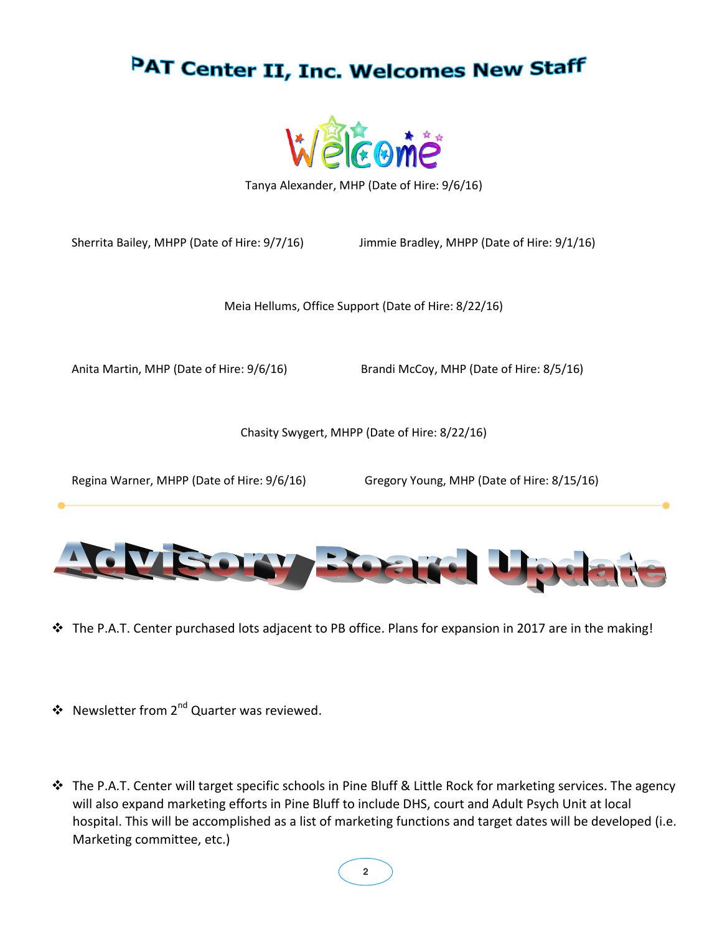



Tanya Alexander, MHP (Date of Hire: 9/6/16)

Sherrita Bailey, MHPP (Date of Hire: 9/7/16) Jimmie Bradley, MHPP (Date of Hire: 9/1/16)

Meia Hellums, Office Support (Date of Hire: 8/22/16)

Anita Martin, MHP (Date of Hire: 9/6/16) Brandi McCoy, MHP (Date of Hire: 8/5/16)

Chasity Swygert, MHPP (Date of Hire: 8/22/16)

Regina Warner, MHPP (Date of Hire: 9/6/16) Gregory Young, MHP (Date of Hire: 8/15/16)



- The P.A.T. Center purchased lots adjacent to PB office. Plans for expansion in 2017 are in the making!
- ❖ Newsletter from 2<sup>nd</sup> Quarter was reviewed.
- The P.A.T. Center will target specific schools in Pine Bluff & Little Rock for marketing services. The agency will also expand marketing efforts in Pine Bluff to include DHS, court and Adult Psych Unit at local hospital. This will be accomplished as a list of marketing functions and target dates will be developed (i.e. Marketing committee, etc.)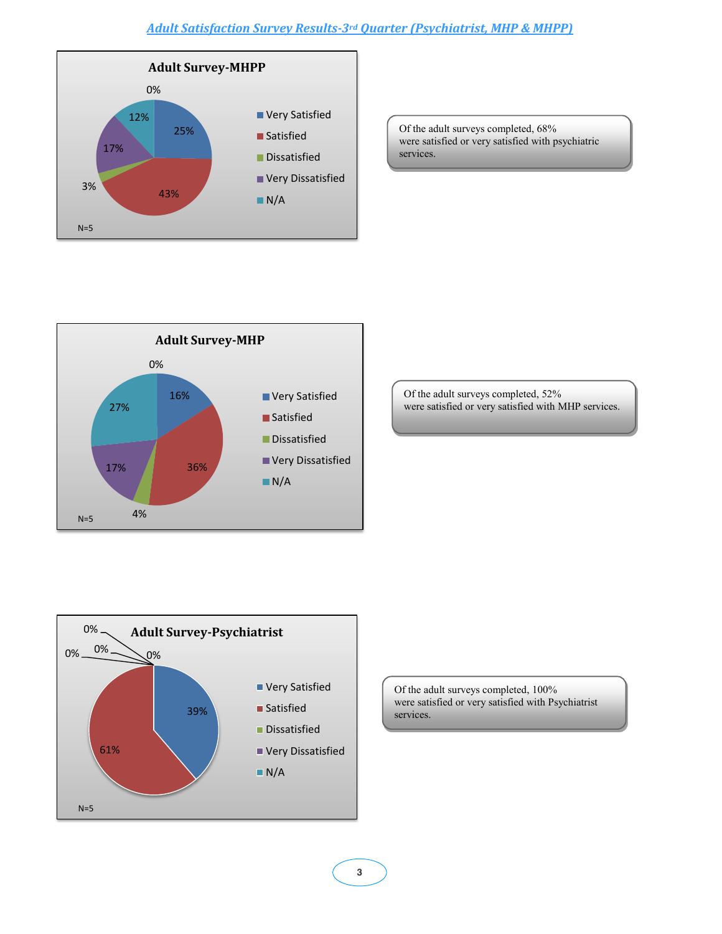### *Adult Satisfaction Survey Results-3rd Quarter (Psychiatrist, MHP & MHPP)*



Of the adult surveys completed, 68% were satisfied or very satisfied with psychiatric services.



Of the adult surveys completed, 52% were satisfied or very satisfied with MHP services.



Of the adult surveys completed, 100% were satisfied or very satisfied with Psychiatrist services.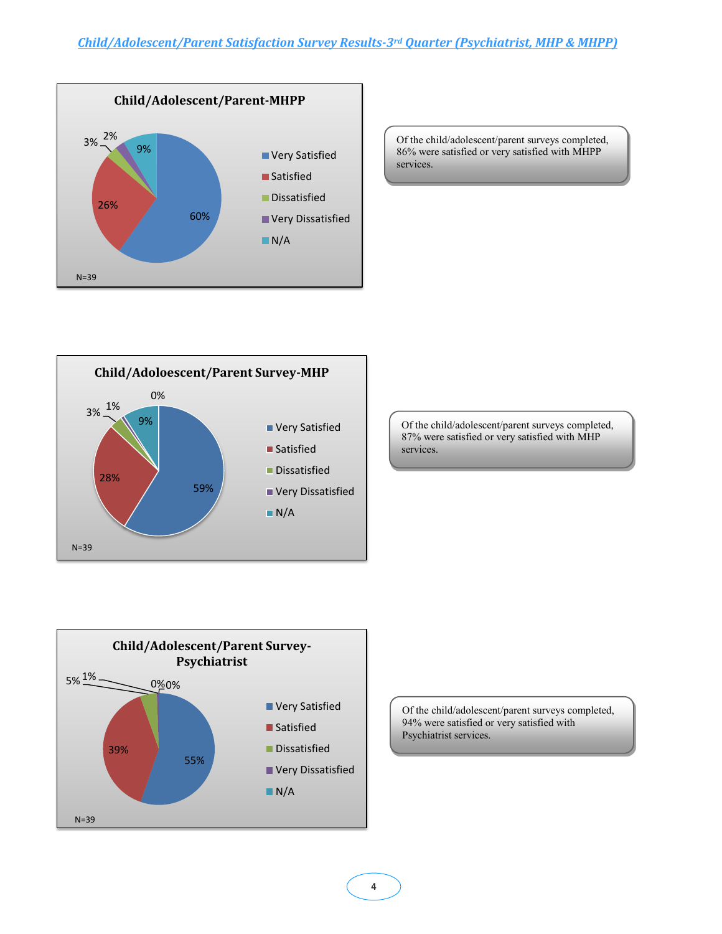

Of the child/adolescent/parent surveys completed, 86% were satisfied or very satisfied with MHPP services.



Of the child/adolescent/parent surveys completed, 87% were satisfied or very satisfied with MHP services.



Of the child/adolescent/parent surveys completed, 94% were satisfied or very satisfied with Psychiatrist services.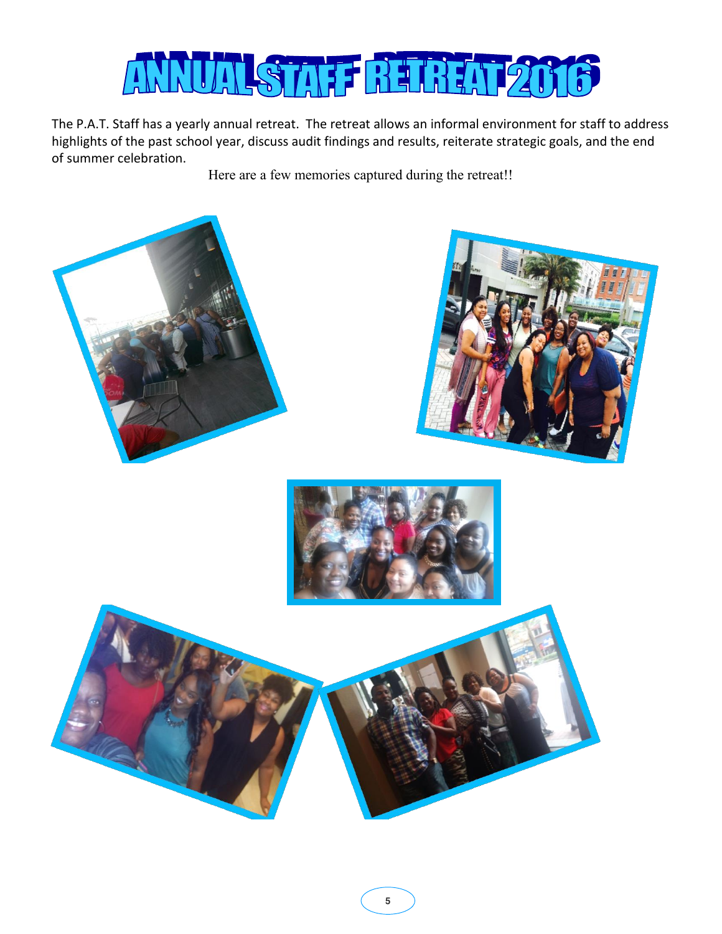

The P.A.T. Staff has a yearly annual retreat. The retreat allows an informal environment for staff to address highlights of the past school year, discuss audit findings and results, reiterate strategic goals, and the end of summer celebration.

Here are a few memories captured during the retreat!!